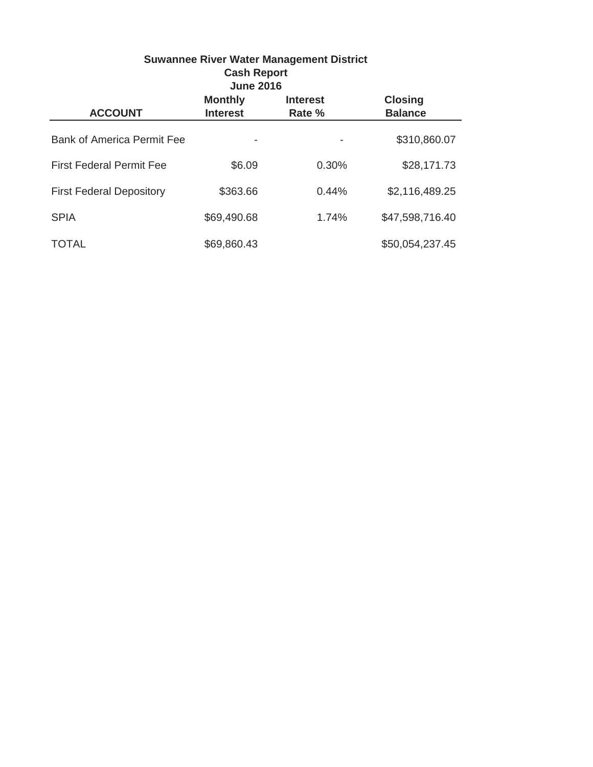| <b>Suwannee River Water Management District</b><br><b>Cash Report</b><br><b>June 2016</b> |                                   |                           |                                  |  |  |
|-------------------------------------------------------------------------------------------|-----------------------------------|---------------------------|----------------------------------|--|--|
| <b>ACCOUNT</b>                                                                            | <b>Monthly</b><br><b>Interest</b> | <b>Interest</b><br>Rate % | <b>Closing</b><br><b>Balance</b> |  |  |
| <b>Bank of America Permit Fee</b>                                                         |                                   |                           | \$310,860.07                     |  |  |
| <b>First Federal Permit Fee</b>                                                           | \$6.09                            | 0.30%                     | \$28,171.73                      |  |  |
| <b>First Federal Depository</b>                                                           | \$363.66                          | 0.44%                     | \$2,116,489.25                   |  |  |
| <b>SPIA</b>                                                                               | \$69,490.68                       | 1.74%                     | \$47,598,716.40                  |  |  |
| TOTAL                                                                                     | \$69,860.43                       |                           | \$50,054,237.45                  |  |  |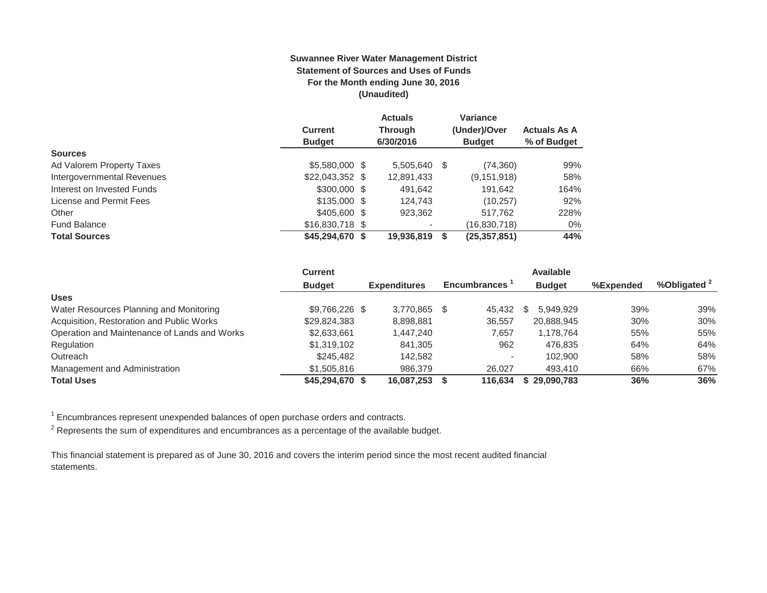#### **Suwannee River Water Management District Statement of Sources and Uses of Funds For the Month ending June 30, 2016 (Unaudited)**

|                            |                  | <b>Actuals</b>           |   | <b>Variance</b> |                     |
|----------------------------|------------------|--------------------------|---|-----------------|---------------------|
|                            | <b>Current</b>   | <b>Through</b>           |   | (Under)/Over    | <b>Actuals As A</b> |
|                            | <b>Budget</b>    | 6/30/2016                |   | <b>Budget</b>   | % of Budget         |
| <b>Sources</b>             |                  |                          |   |                 |                     |
| Ad Valorem Property Taxes  | \$5,580,000 \$   | 5,505,640                | S | (74, 360)       | 99%                 |
| Intergovernmental Revenues | $$22,043,352$ \$ | 12,891,433               |   | (9, 151, 918)   | 58%                 |
| Interest on Invested Funds | $$300,000$ \$    | 491,642                  |   | 191.642         | 164%                |
| License and Permit Fees    | $$135,000$ \$    | 124.743                  |   | (10, 257)       | 92%                 |
| Other                      | \$405,600 \$     | 923.362                  |   | 517.762         | 228%                |
| <b>Fund Balance</b>        | \$16,830,718 \$  | $\overline{\phantom{0}}$ |   | (16,830,718)    | $0\%$               |
| <b>Total Sources</b>       | $$45,294,670$ \$ | 19,936,819               |   | (25, 357, 851)  | 44%                 |

|                                              | <b>Current</b>  |                     |                     | <b>Available</b> |           |            |
|----------------------------------------------|-----------------|---------------------|---------------------|------------------|-----------|------------|
|                                              | <b>Budget</b>   | <b>Expenditures</b> | <b>Encumbrances</b> | <b>Budget</b>    | %Expended | %Obligated |
| <b>Uses</b>                                  |                 |                     |                     |                  |           |            |
| Water Resources Planning and Monitoring      | \$9,766,226 \$  | 3.770.865           | 45.432              | 5.949.929<br>S   | 39%       | 39%        |
| Acquisition, Restoration and Public Works    | \$29,824,383    | 8,898,881           | 36,557              | 20,888,945       | 30%       | 30%        |
| Operation and Maintenance of Lands and Works | \$2,633,661     | 1,447,240           | 7,657               | 1.178.764        | 55%       | 55%        |
| Regulation                                   | \$1.319.102     | 841.305             | 962                 | 476.835          | 64%       | 64%        |
| Outreach                                     | \$245,482       | 142.582             |                     | 102.900          | 58%       | 58%        |
| Management and Administration                | \$1,505,816     | 986,379             | 26.027              | 493.410          | 66%       | 67%        |
| <b>Total Uses</b>                            | \$45,294,670 \$ | 16,087,253          | 116.634             | \$29,090,783     | 36%       | 36%        |

 $1$  Encumbrances represent unexpended balances of open purchase orders and contracts.

 $^2$  Represents the sum of expenditures and encumbrances as a percentage of the available budget.

This financial statement is prepared as of June 30, 2016 and covers the interim period since the most recent audited financial statements.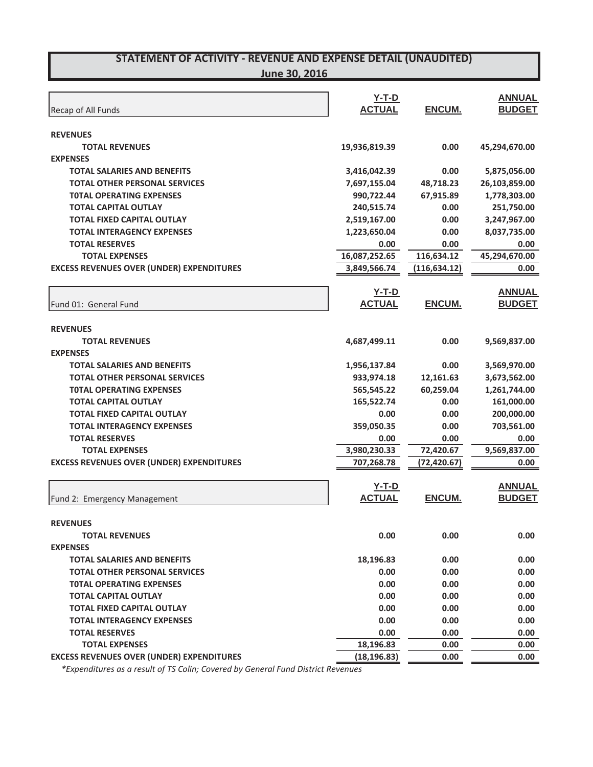**June 30, 2016**

| Recap of All Funds                                             | $Y-T-D$<br><b>ACTUAL</b> | ENCUM.            | <b>ANNUAL</b><br><b>BUDGET</b> |
|----------------------------------------------------------------|--------------------------|-------------------|--------------------------------|
|                                                                |                          |                   |                                |
| <b>REVENUES</b>                                                |                          |                   |                                |
| <b>TOTAL REVENUES</b>                                          | 19,936,819.39            | 0.00              | 45,294,670.00                  |
| <b>EXPENSES</b>                                                |                          |                   |                                |
| <b>TOTAL SALARIES AND BENEFITS</b>                             | 3,416,042.39             | 0.00              | 5,875,056.00                   |
| <b>TOTAL OTHER PERSONAL SERVICES</b>                           | 7,697,155.04             | 48,718.23         | 26,103,859.00                  |
| <b>TOTAL OPERATING EXPENSES</b><br><b>TOTAL CAPITAL OUTLAY</b> | 990,722.44<br>240,515.74 | 67,915.89<br>0.00 | 1,778,303.00<br>251,750.00     |
| <b>TOTAL FIXED CAPITAL OUTLAY</b>                              | 2,519,167.00             | 0.00              | 3,247,967.00                   |
| <b>TOTAL INTERAGENCY EXPENSES</b>                              | 1,223,650.04             | 0.00              | 8,037,735.00                   |
| <b>TOTAL RESERVES</b>                                          | 0.00                     | 0.00              | 0.00                           |
| <b>TOTAL EXPENSES</b>                                          | 16,087,252.65            | 116,634.12        | 45,294,670.00                  |
| <b>EXCESS REVENUES OVER (UNDER) EXPENDITURES</b>               | 3,849,566.74             | (116, 634.12)     | 0.00                           |
|                                                                |                          |                   |                                |
|                                                                | $Y-T-D$                  |                   | <b>ANNUAL</b>                  |
| Fund 01: General Fund                                          | <b>ACTUAL</b>            | ENCUM.            | <b>BUDGET</b>                  |
|                                                                |                          |                   |                                |
| <b>REVENUES</b>                                                |                          |                   |                                |
| <b>TOTAL REVENUES</b>                                          | 4,687,499.11             | 0.00              | 9,569,837.00                   |
| <b>EXPENSES</b>                                                |                          |                   |                                |
| <b>TOTAL SALARIES AND BENEFITS</b>                             | 1,956,137.84             | 0.00              | 3,569,970.00                   |
| <b>TOTAL OTHER PERSONAL SERVICES</b>                           | 933,974.18               | 12,161.63         | 3,673,562.00                   |
| <b>TOTAL OPERATING EXPENSES</b>                                | 565,545.22               | 60,259.04         | 1,261,744.00                   |
| <b>TOTAL CAPITAL OUTLAY</b>                                    | 165,522.74               | 0.00              | 161,000.00                     |
| <b>TOTAL FIXED CAPITAL OUTLAY</b>                              | 0.00                     | 0.00              | 200,000.00                     |
| <b>TOTAL INTERAGENCY EXPENSES</b>                              | 359,050.35               | 0.00              | 703,561.00                     |
| <b>TOTAL RESERVES</b>                                          | 0.00                     | 0.00              | 0.00                           |
| <b>TOTAL EXPENSES</b>                                          | 3,980,230.33             | 72,420.67         | 9,569,837.00                   |
| <b>EXCESS REVENUES OVER (UNDER) EXPENDITURES</b>               | 707,268.78               | (72, 420.67)      | 0.00                           |
|                                                                | $Y-T-D$                  |                   | <b>ANNUAL</b>                  |
| Fund 2: Emergency Management                                   | <b>ACTUAL</b>            | ENCUM.            | <b>BUDGET</b>                  |
|                                                                |                          |                   |                                |
| <b>REVENUES</b>                                                |                          |                   |                                |
| <b>TOTAL REVENUES</b>                                          | 0.00                     | 0.00              | 0.00                           |
| <b>EXPENSES</b>                                                |                          |                   |                                |
| <b>TOTAL SALARIES AND BENEFITS</b>                             | 18,196.83                | 0.00              | 0.00                           |
| <b>TOTAL OTHER PERSONAL SERVICES</b>                           | 0.00                     | 0.00              | 0.00                           |
| <b>TOTAL OPERATING EXPENSES</b>                                | 0.00                     | 0.00              | 0.00                           |
| <b>TOTAL CAPITAL OUTLAY</b>                                    | 0.00                     | 0.00              | 0.00                           |
| <b>TOTAL FIXED CAPITAL OUTLAY</b>                              | 0.00                     | 0.00              | 0.00                           |
| <b>TOTAL INTERAGENCY EXPENSES</b>                              | 0.00                     | 0.00              | 0.00                           |
| <b>TOTAL RESERVES</b>                                          | 0.00                     | 0.00              | 0.00                           |
| <b>TOTAL EXPENSES</b>                                          | 18,196.83                | 0.00              | 0.00                           |
| <b>EXCESS REVENUES OVER (UNDER) EXPENDITURES</b>               | (18, 196.83)             | 0.00              | 0.00                           |

*\*Expenditures as a result of TS Colin; Covered by General Fund District Revenues*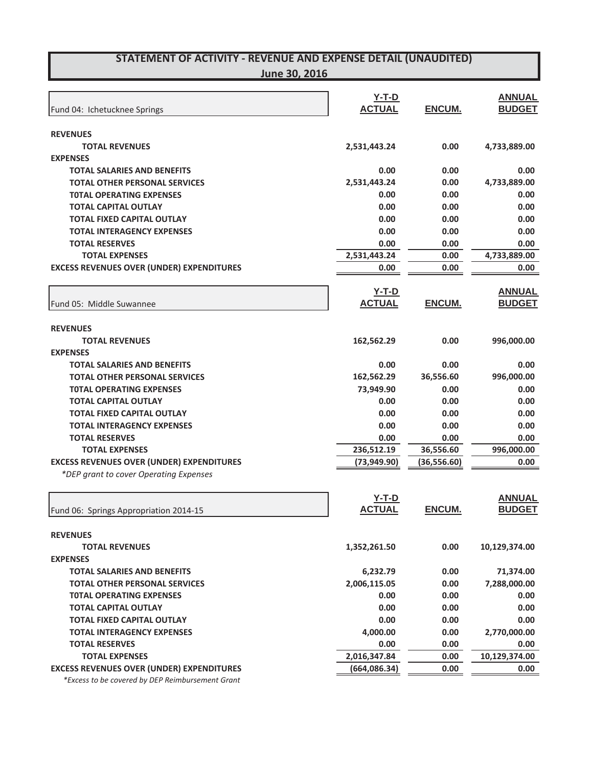|                                                  | <b>Y-T-D</b>  |               | <b>ANNUAL</b> |
|--------------------------------------------------|---------------|---------------|---------------|
| Fund 04: Ichetucknee Springs                     | <b>ACTUAL</b> | ENCUM.        | <b>BUDGET</b> |
|                                                  |               |               |               |
| <b>REVENUES</b><br><b>TOTAL REVENUES</b>         |               |               |               |
|                                                  | 2,531,443.24  | 0.00          | 4,733,889.00  |
| <b>EXPENSES</b>                                  |               |               |               |
| <b>TOTAL SALARIES AND BENEFITS</b>               | 0.00          | 0.00          | 0.00          |
| <b>TOTAL OTHER PERSONAL SERVICES</b>             | 2,531,443.24  | 0.00          | 4,733,889.00  |
| <b>TOTAL OPERATING EXPENSES</b>                  | 0.00          | 0.00          | 0.00          |
| <b>TOTAL CAPITAL OUTLAY</b>                      | 0.00          | 0.00          | 0.00          |
| <b>TOTAL FIXED CAPITAL OUTLAY</b>                | 0.00          | 0.00          | 0.00          |
| <b>TOTAL INTERAGENCY EXPENSES</b>                | 0.00          | 0.00          | 0.00          |
| <b>TOTAL RESERVES</b>                            | 0.00          | 0.00          | 0.00          |
| <b>TOTAL EXPENSES</b>                            | 2,531,443.24  | 0.00          | 4,733,889.00  |
| <b>EXCESS REVENUES OVER (UNDER) EXPENDITURES</b> | 0.00          | 0.00          | 0.00          |
|                                                  | $Y-T-D$       |               | <b>ANNUAL</b> |
| Fund 05: Middle Suwannee                         | <b>ACTUAL</b> | <b>ENCUM.</b> | <b>BUDGET</b> |
|                                                  |               |               |               |
| <b>REVENUES</b>                                  |               |               |               |
| <b>TOTAL REVENUES</b>                            | 162,562.29    | 0.00          | 996,000.00    |
| <b>EXPENSES</b>                                  |               |               |               |
| <b>TOTAL SALARIES AND BENEFITS</b>               | 0.00          | 0.00          | 0.00          |
| <b>TOTAL OTHER PERSONAL SERVICES</b>             | 162,562.29    | 36,556.60     | 996,000.00    |
| <b>TOTAL OPERATING EXPENSES</b>                  | 73,949.90     | 0.00          | 0.00          |
| <b>TOTAL CAPITAL OUTLAY</b>                      | 0.00          | 0.00          | 0.00          |
| <b>TOTAL FIXED CAPITAL OUTLAY</b>                | 0.00          | 0.00          | 0.00          |
| <b>TOTAL INTERAGENCY EXPENSES</b>                | 0.00          | 0.00          | 0.00          |
| <b>TOTAL RESERVES</b>                            | 0.00          | 0.00          | 0.00          |
| <b>TOTAL EXPENSES</b>                            | 236,512.19    | 36,556.60     | 996,000.00    |
| <b>EXCESS REVENUES OVER (UNDER) EXPENDITURES</b> | (73, 949.90)  | (36,556.60)   | 0.00          |
| *DEP grant to cover Operating Expenses           |               |               |               |
|                                                  |               |               |               |
|                                                  | <b>Y-T-D</b>  |               | <b>ANNUAL</b> |
| Fund 06: Springs Appropriation 2014-15           | <b>ACTUAL</b> | <b>ENCUM.</b> | <b>BUDGET</b> |
|                                                  |               |               |               |
| <b>REVENUES</b>                                  |               |               |               |
| <b>TOTAL REVENUES</b>                            | 1,352,261.50  | 0.00          | 10,129,374.00 |
| <b>EXPENSES</b>                                  |               |               |               |
| <b>TOTAL SALARIES AND BENEFITS</b>               | 6,232.79      | 0.00          | 71,374.00     |
| <b>TOTAL OTHER PERSONAL SERVICES</b>             | 2,006,115.05  | 0.00          | 7,288,000.00  |
| <b>TOTAL OPERATING EXPENSES</b>                  | 0.00          | 0.00          | 0.00          |
| <b>TOTAL CAPITAL OUTLAY</b>                      | 0.00          | 0.00          | 0.00          |
| <b>TOTAL FIXED CAPITAL OUTLAY</b>                | 0.00          | 0.00          | 0.00          |
| <b>TOTAL INTERAGENCY EXPENSES</b>                | 4,000.00      | 0.00          | 2,770,000.00  |
| <b>TOTAL RESERVES</b>                            | 0.00          | 0.00          | 0.00          |
| <b>TOTAL EXPENSES</b>                            | 2,016,347.84  | 0.00          | 10,129,374.00 |
| <b>EXCESS REVENUES OVER (UNDER) EXPENDITURES</b> | (664, 086.34) | 0.00          | 0.00          |
| *Excess to be covered by DEP Reimbursement Grant |               |               |               |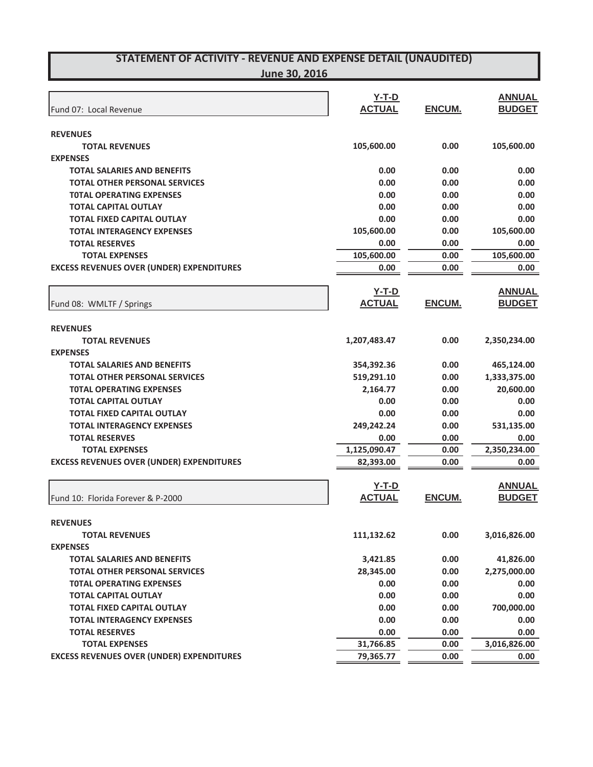|                                                  | $Y-T-D$       |        | <b>ANNUAL</b> |
|--------------------------------------------------|---------------|--------|---------------|
| Fund 07: Local Revenue                           | <b>ACTUAL</b> | ENCUM. | <b>BUDGET</b> |
|                                                  |               |        |               |
| <b>REVENUES</b>                                  |               |        |               |
| <b>TOTAL REVENUES</b>                            | 105,600.00    | 0.00   | 105,600.00    |
| <b>EXPENSES</b>                                  |               |        |               |
| <b>TOTAL SALARIES AND BENEFITS</b>               | 0.00          | 0.00   | 0.00          |
| <b>TOTAL OTHER PERSONAL SERVICES</b>             | 0.00          | 0.00   | 0.00          |
| <b>TOTAL OPERATING EXPENSES</b>                  | 0.00          | 0.00   | 0.00          |
| <b>TOTAL CAPITAL OUTLAY</b>                      | 0.00          | 0.00   | 0.00          |
| <b>TOTAL FIXED CAPITAL OUTLAY</b>                | 0.00          | 0.00   | 0.00          |
| <b>TOTAL INTERAGENCY EXPENSES</b>                | 105,600.00    | 0.00   | 105,600.00    |
| <b>TOTAL RESERVES</b>                            | 0.00          | 0.00   | 0.00          |
| <b>TOTAL EXPENSES</b>                            | 105,600.00    | 0.00   | 105,600.00    |
| <b>EXCESS REVENUES OVER (UNDER) EXPENDITURES</b> | 0.00          | 0.00   | 0.00          |
|                                                  | $Y-T-D$       |        | <b>ANNUAL</b> |
| Fund 08: WMLTF / Springs                         | <b>ACTUAL</b> | ENCUM. | <b>BUDGET</b> |
|                                                  |               |        |               |
| <b>REVENUES</b>                                  |               |        |               |
| <b>TOTAL REVENUES</b>                            | 1,207,483.47  | 0.00   | 2,350,234.00  |
| <b>EXPENSES</b>                                  |               |        |               |
| <b>TOTAL SALARIES AND BENEFITS</b>               | 354,392.36    | 0.00   | 465,124.00    |
| <b>TOTAL OTHER PERSONAL SERVICES</b>             | 519,291.10    | 0.00   | 1,333,375.00  |
| <b>TOTAL OPERATING EXPENSES</b>                  | 2,164.77      | 0.00   | 20,600.00     |
| <b>TOTAL CAPITAL OUTLAY</b>                      | 0.00          | 0.00   | 0.00          |
| <b>TOTAL FIXED CAPITAL OUTLAY</b>                | 0.00          | 0.00   | 0.00          |
| <b>TOTAL INTERAGENCY EXPENSES</b>                | 249,242.24    | 0.00   | 531,135.00    |
| <b>TOTAL RESERVES</b>                            | 0.00          | 0.00   | 0.00          |
| <b>TOTAL EXPENSES</b>                            | 1,125,090.47  | 0.00   | 2,350,234.00  |
| <b>EXCESS REVENUES OVER (UNDER) EXPENDITURES</b> | 82,393.00     | 0.00   | 0.00          |
|                                                  | $Y-T-D$       |        | <b>ANNUAL</b> |
| Fund 10: Florida Forever & P-2000                | <b>ACTUAL</b> | ENCUM. | <b>BUDGET</b> |
|                                                  |               |        |               |
| <b>REVENUES</b>                                  |               |        |               |
| <b>TOTAL REVENUES</b>                            | 111,132.62    | 0.00   | 3,016,826.00  |
| <b>EXPENSES</b>                                  |               |        |               |
| <b>TOTAL SALARIES AND BENEFITS</b>               | 3,421.85      | 0.00   | 41,826.00     |
| <b>TOTAL OTHER PERSONAL SERVICES</b>             | 28,345.00     | 0.00   | 2,275,000.00  |
| <b>TOTAL OPERATING EXPENSES</b>                  | 0.00          | 0.00   | 0.00          |
| <b>TOTAL CAPITAL OUTLAY</b>                      | 0.00          | 0.00   | 0.00          |
| <b>TOTAL FIXED CAPITAL OUTLAY</b>                | 0.00          | 0.00   | 700,000.00    |
| <b>TOTAL INTERAGENCY EXPENSES</b>                | 0.00          | 0.00   | 0.00          |
| <b>TOTAL RESERVES</b>                            | 0.00          | 0.00   | 0.00          |
| <b>TOTAL EXPENSES</b>                            | 31,766.85     | 0.00   | 3,016,826.00  |
| <b>EXCESS REVENUES OVER (UNDER) EXPENDITURES</b> | 79,365.77     | 0.00   | 0.00          |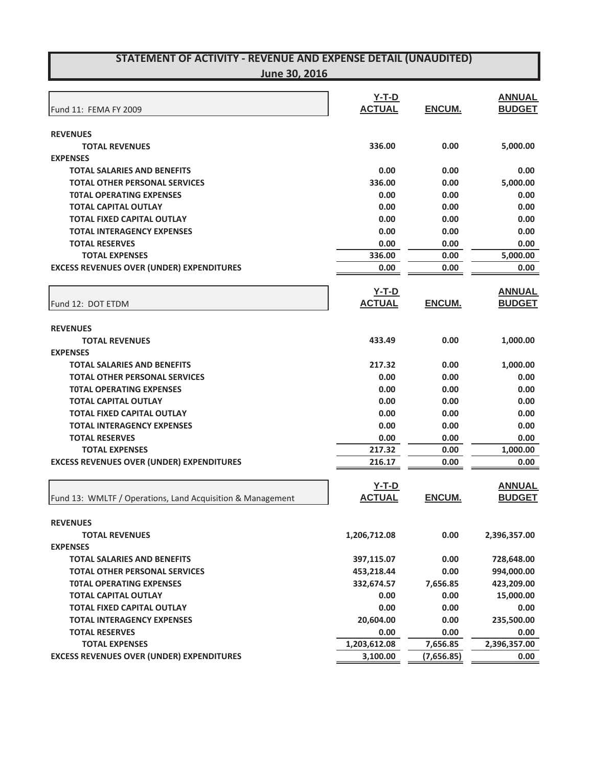**June 30, 2016**

| <b>ACTUAL</b><br>ENCUM.<br><b>BUDGET</b><br>Fund 11: FEMA FY 2009<br><b>REVENUES</b><br><b>TOTAL REVENUES</b><br>336.00<br>0.00<br>5,000.00<br><b>EXPENSES</b><br><b>TOTAL SALARIES AND BENEFITS</b><br>0.00<br>0.00<br>0.00<br>336.00<br><b>TOTAL OTHER PERSONAL SERVICES</b><br>0.00<br>5,000.00<br><b>TOTAL OPERATING EXPENSES</b><br>0.00<br>0.00<br>0.00<br><b>TOTAL CAPITAL OUTLAY</b><br>0.00<br>0.00<br>0.00<br><b>TOTAL FIXED CAPITAL OUTLAY</b><br>0.00<br>0.00<br>0.00<br><b>TOTAL INTERAGENCY EXPENSES</b><br>0.00<br>0.00<br>0.00<br><b>TOTAL RESERVES</b><br>0.00<br>0.00<br>0.00<br>336.00<br>5,000.00<br><b>TOTAL EXPENSES</b><br>0.00<br><b>EXCESS REVENUES OVER (UNDER) EXPENDITURES</b><br>0.00<br>0.00<br>0.00<br><b>ANNUAL</b><br>$Y-T-D$<br><b>ACTUAL</b><br>ENCUM.<br><b>BUDGET</b><br>Fund 12: DOT ETDM<br><b>REVENUES</b><br><b>TOTAL REVENUES</b><br>433.49<br>0.00<br>1,000.00<br><b>EXPENSES</b><br><b>TOTAL SALARIES AND BENEFITS</b><br>217.32<br>1,000.00<br>0.00<br><b>TOTAL OTHER PERSONAL SERVICES</b><br>0.00<br>0.00<br>0.00<br><b>TOTAL OPERATING EXPENSES</b><br>0.00<br>0.00<br>0.00<br><b>TOTAL CAPITAL OUTLAY</b><br>0.00<br>0.00<br>0.00<br><b>TOTAL FIXED CAPITAL OUTLAY</b><br>0.00<br>0.00<br>0.00<br><b>TOTAL INTERAGENCY EXPENSES</b><br>0.00<br>0.00<br>0.00<br><b>TOTAL RESERVES</b><br>0.00<br>0.00<br>0.00<br>217.32<br><b>TOTAL EXPENSES</b><br>0.00<br>1,000.00<br><b>EXCESS REVENUES OVER (UNDER) EXPENDITURES</b><br>216.17<br>0.00<br>0.00<br><b>ANNUAL</b><br>$Y-T-D$<br><b>ACTUAL</b><br>ENCUM.<br><b>BUDGET</b><br>Fund 13: WMLTF / Operations, Land Acquisition & Management<br><b>REVENUES</b><br>1,206,712.08<br>0.00<br><b>TOTAL REVENUES</b><br>2,396,357.00<br><b>EXPENSES</b><br>0.00<br><b>TOTAL SALARIES AND BENEFITS</b><br>397,115.07<br>728,648.00<br><b>TOTAL OTHER PERSONAL SERVICES</b><br>453,218.44<br>0.00<br>994,000.00<br><b>TOTAL OPERATING EXPENSES</b><br>332,674.57<br>7,656.85<br>423,209.00<br>0.00<br>0.00<br>15,000.00<br><b>TOTAL CAPITAL OUTLAY</b><br><b>TOTAL FIXED CAPITAL OUTLAY</b><br>0.00<br>0.00<br>0.00<br><b>TOTAL INTERAGENCY EXPENSES</b><br>20,604.00<br>0.00<br>235,500.00<br><b>TOTAL RESERVES</b><br>0.00<br>0.00<br>0.00<br>1,203,612.08<br>2,396,357.00<br><b>TOTAL EXPENSES</b><br>7,656.85<br><b>EXCESS REVENUES OVER (UNDER) EXPENDITURES</b><br>3,100.00<br>(7,656.85)<br>0.00 | <b>Y-T-D</b> | <b>ANNUAL</b> |
|-----------------------------------------------------------------------------------------------------------------------------------------------------------------------------------------------------------------------------------------------------------------------------------------------------------------------------------------------------------------------------------------------------------------------------------------------------------------------------------------------------------------------------------------------------------------------------------------------------------------------------------------------------------------------------------------------------------------------------------------------------------------------------------------------------------------------------------------------------------------------------------------------------------------------------------------------------------------------------------------------------------------------------------------------------------------------------------------------------------------------------------------------------------------------------------------------------------------------------------------------------------------------------------------------------------------------------------------------------------------------------------------------------------------------------------------------------------------------------------------------------------------------------------------------------------------------------------------------------------------------------------------------------------------------------------------------------------------------------------------------------------------------------------------------------------------------------------------------------------------------------------------------------------------------------------------------------------------------------------------------------------------------------------------------------------------------------------------------------------------------------------------------------------------------------------------------------------------------------------------------------------------------------------------------------------------------------------------------------------------------------------------------|--------------|---------------|
|                                                                                                                                                                                                                                                                                                                                                                                                                                                                                                                                                                                                                                                                                                                                                                                                                                                                                                                                                                                                                                                                                                                                                                                                                                                                                                                                                                                                                                                                                                                                                                                                                                                                                                                                                                                                                                                                                                                                                                                                                                                                                                                                                                                                                                                                                                                                                                                               |              |               |
|                                                                                                                                                                                                                                                                                                                                                                                                                                                                                                                                                                                                                                                                                                                                                                                                                                                                                                                                                                                                                                                                                                                                                                                                                                                                                                                                                                                                                                                                                                                                                                                                                                                                                                                                                                                                                                                                                                                                                                                                                                                                                                                                                                                                                                                                                                                                                                                               |              |               |
|                                                                                                                                                                                                                                                                                                                                                                                                                                                                                                                                                                                                                                                                                                                                                                                                                                                                                                                                                                                                                                                                                                                                                                                                                                                                                                                                                                                                                                                                                                                                                                                                                                                                                                                                                                                                                                                                                                                                                                                                                                                                                                                                                                                                                                                                                                                                                                                               |              |               |
|                                                                                                                                                                                                                                                                                                                                                                                                                                                                                                                                                                                                                                                                                                                                                                                                                                                                                                                                                                                                                                                                                                                                                                                                                                                                                                                                                                                                                                                                                                                                                                                                                                                                                                                                                                                                                                                                                                                                                                                                                                                                                                                                                                                                                                                                                                                                                                                               |              |               |
|                                                                                                                                                                                                                                                                                                                                                                                                                                                                                                                                                                                                                                                                                                                                                                                                                                                                                                                                                                                                                                                                                                                                                                                                                                                                                                                                                                                                                                                                                                                                                                                                                                                                                                                                                                                                                                                                                                                                                                                                                                                                                                                                                                                                                                                                                                                                                                                               |              |               |
|                                                                                                                                                                                                                                                                                                                                                                                                                                                                                                                                                                                                                                                                                                                                                                                                                                                                                                                                                                                                                                                                                                                                                                                                                                                                                                                                                                                                                                                                                                                                                                                                                                                                                                                                                                                                                                                                                                                                                                                                                                                                                                                                                                                                                                                                                                                                                                                               |              |               |
|                                                                                                                                                                                                                                                                                                                                                                                                                                                                                                                                                                                                                                                                                                                                                                                                                                                                                                                                                                                                                                                                                                                                                                                                                                                                                                                                                                                                                                                                                                                                                                                                                                                                                                                                                                                                                                                                                                                                                                                                                                                                                                                                                                                                                                                                                                                                                                                               |              |               |
|                                                                                                                                                                                                                                                                                                                                                                                                                                                                                                                                                                                                                                                                                                                                                                                                                                                                                                                                                                                                                                                                                                                                                                                                                                                                                                                                                                                                                                                                                                                                                                                                                                                                                                                                                                                                                                                                                                                                                                                                                                                                                                                                                                                                                                                                                                                                                                                               |              |               |
|                                                                                                                                                                                                                                                                                                                                                                                                                                                                                                                                                                                                                                                                                                                                                                                                                                                                                                                                                                                                                                                                                                                                                                                                                                                                                                                                                                                                                                                                                                                                                                                                                                                                                                                                                                                                                                                                                                                                                                                                                                                                                                                                                                                                                                                                                                                                                                                               |              |               |
|                                                                                                                                                                                                                                                                                                                                                                                                                                                                                                                                                                                                                                                                                                                                                                                                                                                                                                                                                                                                                                                                                                                                                                                                                                                                                                                                                                                                                                                                                                                                                                                                                                                                                                                                                                                                                                                                                                                                                                                                                                                                                                                                                                                                                                                                                                                                                                                               |              |               |
|                                                                                                                                                                                                                                                                                                                                                                                                                                                                                                                                                                                                                                                                                                                                                                                                                                                                                                                                                                                                                                                                                                                                                                                                                                                                                                                                                                                                                                                                                                                                                                                                                                                                                                                                                                                                                                                                                                                                                                                                                                                                                                                                                                                                                                                                                                                                                                                               |              |               |
|                                                                                                                                                                                                                                                                                                                                                                                                                                                                                                                                                                                                                                                                                                                                                                                                                                                                                                                                                                                                                                                                                                                                                                                                                                                                                                                                                                                                                                                                                                                                                                                                                                                                                                                                                                                                                                                                                                                                                                                                                                                                                                                                                                                                                                                                                                                                                                                               |              |               |
|                                                                                                                                                                                                                                                                                                                                                                                                                                                                                                                                                                                                                                                                                                                                                                                                                                                                                                                                                                                                                                                                                                                                                                                                                                                                                                                                                                                                                                                                                                                                                                                                                                                                                                                                                                                                                                                                                                                                                                                                                                                                                                                                                                                                                                                                                                                                                                                               |              |               |
|                                                                                                                                                                                                                                                                                                                                                                                                                                                                                                                                                                                                                                                                                                                                                                                                                                                                                                                                                                                                                                                                                                                                                                                                                                                                                                                                                                                                                                                                                                                                                                                                                                                                                                                                                                                                                                                                                                                                                                                                                                                                                                                                                                                                                                                                                                                                                                                               |              |               |
|                                                                                                                                                                                                                                                                                                                                                                                                                                                                                                                                                                                                                                                                                                                                                                                                                                                                                                                                                                                                                                                                                                                                                                                                                                                                                                                                                                                                                                                                                                                                                                                                                                                                                                                                                                                                                                                                                                                                                                                                                                                                                                                                                                                                                                                                                                                                                                                               |              |               |
|                                                                                                                                                                                                                                                                                                                                                                                                                                                                                                                                                                                                                                                                                                                                                                                                                                                                                                                                                                                                                                                                                                                                                                                                                                                                                                                                                                                                                                                                                                                                                                                                                                                                                                                                                                                                                                                                                                                                                                                                                                                                                                                                                                                                                                                                                                                                                                                               |              |               |
|                                                                                                                                                                                                                                                                                                                                                                                                                                                                                                                                                                                                                                                                                                                                                                                                                                                                                                                                                                                                                                                                                                                                                                                                                                                                                                                                                                                                                                                                                                                                                                                                                                                                                                                                                                                                                                                                                                                                                                                                                                                                                                                                                                                                                                                                                                                                                                                               |              |               |
|                                                                                                                                                                                                                                                                                                                                                                                                                                                                                                                                                                                                                                                                                                                                                                                                                                                                                                                                                                                                                                                                                                                                                                                                                                                                                                                                                                                                                                                                                                                                                                                                                                                                                                                                                                                                                                                                                                                                                                                                                                                                                                                                                                                                                                                                                                                                                                                               |              |               |
|                                                                                                                                                                                                                                                                                                                                                                                                                                                                                                                                                                                                                                                                                                                                                                                                                                                                                                                                                                                                                                                                                                                                                                                                                                                                                                                                                                                                                                                                                                                                                                                                                                                                                                                                                                                                                                                                                                                                                                                                                                                                                                                                                                                                                                                                                                                                                                                               |              |               |
|                                                                                                                                                                                                                                                                                                                                                                                                                                                                                                                                                                                                                                                                                                                                                                                                                                                                                                                                                                                                                                                                                                                                                                                                                                                                                                                                                                                                                                                                                                                                                                                                                                                                                                                                                                                                                                                                                                                                                                                                                                                                                                                                                                                                                                                                                                                                                                                               |              |               |
|                                                                                                                                                                                                                                                                                                                                                                                                                                                                                                                                                                                                                                                                                                                                                                                                                                                                                                                                                                                                                                                                                                                                                                                                                                                                                                                                                                                                                                                                                                                                                                                                                                                                                                                                                                                                                                                                                                                                                                                                                                                                                                                                                                                                                                                                                                                                                                                               |              |               |
|                                                                                                                                                                                                                                                                                                                                                                                                                                                                                                                                                                                                                                                                                                                                                                                                                                                                                                                                                                                                                                                                                                                                                                                                                                                                                                                                                                                                                                                                                                                                                                                                                                                                                                                                                                                                                                                                                                                                                                                                                                                                                                                                                                                                                                                                                                                                                                                               |              |               |
|                                                                                                                                                                                                                                                                                                                                                                                                                                                                                                                                                                                                                                                                                                                                                                                                                                                                                                                                                                                                                                                                                                                                                                                                                                                                                                                                                                                                                                                                                                                                                                                                                                                                                                                                                                                                                                                                                                                                                                                                                                                                                                                                                                                                                                                                                                                                                                                               |              |               |
|                                                                                                                                                                                                                                                                                                                                                                                                                                                                                                                                                                                                                                                                                                                                                                                                                                                                                                                                                                                                                                                                                                                                                                                                                                                                                                                                                                                                                                                                                                                                                                                                                                                                                                                                                                                                                                                                                                                                                                                                                                                                                                                                                                                                                                                                                                                                                                                               |              |               |
|                                                                                                                                                                                                                                                                                                                                                                                                                                                                                                                                                                                                                                                                                                                                                                                                                                                                                                                                                                                                                                                                                                                                                                                                                                                                                                                                                                                                                                                                                                                                                                                                                                                                                                                                                                                                                                                                                                                                                                                                                                                                                                                                                                                                                                                                                                                                                                                               |              |               |
|                                                                                                                                                                                                                                                                                                                                                                                                                                                                                                                                                                                                                                                                                                                                                                                                                                                                                                                                                                                                                                                                                                                                                                                                                                                                                                                                                                                                                                                                                                                                                                                                                                                                                                                                                                                                                                                                                                                                                                                                                                                                                                                                                                                                                                                                                                                                                                                               |              |               |
|                                                                                                                                                                                                                                                                                                                                                                                                                                                                                                                                                                                                                                                                                                                                                                                                                                                                                                                                                                                                                                                                                                                                                                                                                                                                                                                                                                                                                                                                                                                                                                                                                                                                                                                                                                                                                                                                                                                                                                                                                                                                                                                                                                                                                                                                                                                                                                                               |              |               |
|                                                                                                                                                                                                                                                                                                                                                                                                                                                                                                                                                                                                                                                                                                                                                                                                                                                                                                                                                                                                                                                                                                                                                                                                                                                                                                                                                                                                                                                                                                                                                                                                                                                                                                                                                                                                                                                                                                                                                                                                                                                                                                                                                                                                                                                                                                                                                                                               |              |               |
|                                                                                                                                                                                                                                                                                                                                                                                                                                                                                                                                                                                                                                                                                                                                                                                                                                                                                                                                                                                                                                                                                                                                                                                                                                                                                                                                                                                                                                                                                                                                                                                                                                                                                                                                                                                                                                                                                                                                                                                                                                                                                                                                                                                                                                                                                                                                                                                               |              |               |
|                                                                                                                                                                                                                                                                                                                                                                                                                                                                                                                                                                                                                                                                                                                                                                                                                                                                                                                                                                                                                                                                                                                                                                                                                                                                                                                                                                                                                                                                                                                                                                                                                                                                                                                                                                                                                                                                                                                                                                                                                                                                                                                                                                                                                                                                                                                                                                                               |              |               |
|                                                                                                                                                                                                                                                                                                                                                                                                                                                                                                                                                                                                                                                                                                                                                                                                                                                                                                                                                                                                                                                                                                                                                                                                                                                                                                                                                                                                                                                                                                                                                                                                                                                                                                                                                                                                                                                                                                                                                                                                                                                                                                                                                                                                                                                                                                                                                                                               |              |               |
|                                                                                                                                                                                                                                                                                                                                                                                                                                                                                                                                                                                                                                                                                                                                                                                                                                                                                                                                                                                                                                                                                                                                                                                                                                                                                                                                                                                                                                                                                                                                                                                                                                                                                                                                                                                                                                                                                                                                                                                                                                                                                                                                                                                                                                                                                                                                                                                               |              |               |
|                                                                                                                                                                                                                                                                                                                                                                                                                                                                                                                                                                                                                                                                                                                                                                                                                                                                                                                                                                                                                                                                                                                                                                                                                                                                                                                                                                                                                                                                                                                                                                                                                                                                                                                                                                                                                                                                                                                                                                                                                                                                                                                                                                                                                                                                                                                                                                                               |              |               |
|                                                                                                                                                                                                                                                                                                                                                                                                                                                                                                                                                                                                                                                                                                                                                                                                                                                                                                                                                                                                                                                                                                                                                                                                                                                                                                                                                                                                                                                                                                                                                                                                                                                                                                                                                                                                                                                                                                                                                                                                                                                                                                                                                                                                                                                                                                                                                                                               |              |               |
|                                                                                                                                                                                                                                                                                                                                                                                                                                                                                                                                                                                                                                                                                                                                                                                                                                                                                                                                                                                                                                                                                                                                                                                                                                                                                                                                                                                                                                                                                                                                                                                                                                                                                                                                                                                                                                                                                                                                                                                                                                                                                                                                                                                                                                                                                                                                                                                               |              |               |
|                                                                                                                                                                                                                                                                                                                                                                                                                                                                                                                                                                                                                                                                                                                                                                                                                                                                                                                                                                                                                                                                                                                                                                                                                                                                                                                                                                                                                                                                                                                                                                                                                                                                                                                                                                                                                                                                                                                                                                                                                                                                                                                                                                                                                                                                                                                                                                                               |              |               |
|                                                                                                                                                                                                                                                                                                                                                                                                                                                                                                                                                                                                                                                                                                                                                                                                                                                                                                                                                                                                                                                                                                                                                                                                                                                                                                                                                                                                                                                                                                                                                                                                                                                                                                                                                                                                                                                                                                                                                                                                                                                                                                                                                                                                                                                                                                                                                                                               |              |               |
|                                                                                                                                                                                                                                                                                                                                                                                                                                                                                                                                                                                                                                                                                                                                                                                                                                                                                                                                                                                                                                                                                                                                                                                                                                                                                                                                                                                                                                                                                                                                                                                                                                                                                                                                                                                                                                                                                                                                                                                                                                                                                                                                                                                                                                                                                                                                                                                               |              |               |
|                                                                                                                                                                                                                                                                                                                                                                                                                                                                                                                                                                                                                                                                                                                                                                                                                                                                                                                                                                                                                                                                                                                                                                                                                                                                                                                                                                                                                                                                                                                                                                                                                                                                                                                                                                                                                                                                                                                                                                                                                                                                                                                                                                                                                                                                                                                                                                                               |              |               |
|                                                                                                                                                                                                                                                                                                                                                                                                                                                                                                                                                                                                                                                                                                                                                                                                                                                                                                                                                                                                                                                                                                                                                                                                                                                                                                                                                                                                                                                                                                                                                                                                                                                                                                                                                                                                                                                                                                                                                                                                                                                                                                                                                                                                                                                                                                                                                                                               |              |               |
|                                                                                                                                                                                                                                                                                                                                                                                                                                                                                                                                                                                                                                                                                                                                                                                                                                                                                                                                                                                                                                                                                                                                                                                                                                                                                                                                                                                                                                                                                                                                                                                                                                                                                                                                                                                                                                                                                                                                                                                                                                                                                                                                                                                                                                                                                                                                                                                               |              |               |
|                                                                                                                                                                                                                                                                                                                                                                                                                                                                                                                                                                                                                                                                                                                                                                                                                                                                                                                                                                                                                                                                                                                                                                                                                                                                                                                                                                                                                                                                                                                                                                                                                                                                                                                                                                                                                                                                                                                                                                                                                                                                                                                                                                                                                                                                                                                                                                                               |              |               |
|                                                                                                                                                                                                                                                                                                                                                                                                                                                                                                                                                                                                                                                                                                                                                                                                                                                                                                                                                                                                                                                                                                                                                                                                                                                                                                                                                                                                                                                                                                                                                                                                                                                                                                                                                                                                                                                                                                                                                                                                                                                                                                                                                                                                                                                                                                                                                                                               |              |               |
|                                                                                                                                                                                                                                                                                                                                                                                                                                                                                                                                                                                                                                                                                                                                                                                                                                                                                                                                                                                                                                                                                                                                                                                                                                                                                                                                                                                                                                                                                                                                                                                                                                                                                                                                                                                                                                                                                                                                                                                                                                                                                                                                                                                                                                                                                                                                                                                               |              |               |
|                                                                                                                                                                                                                                                                                                                                                                                                                                                                                                                                                                                                                                                                                                                                                                                                                                                                                                                                                                                                                                                                                                                                                                                                                                                                                                                                                                                                                                                                                                                                                                                                                                                                                                                                                                                                                                                                                                                                                                                                                                                                                                                                                                                                                                                                                                                                                                                               |              |               |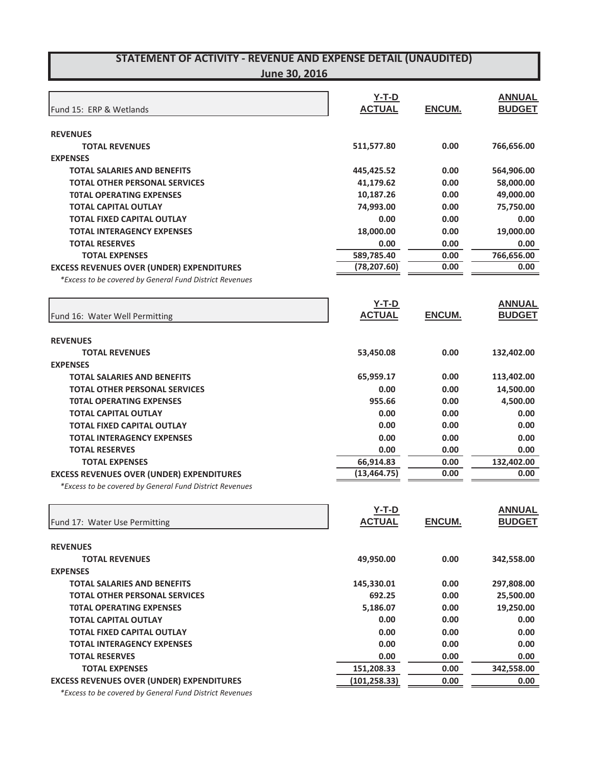#### **June 30, 2016**

|                                                         | $Y-T-D$       |               | <b>ANNUAL</b> |
|---------------------------------------------------------|---------------|---------------|---------------|
| Fund 15: ERP & Wetlands                                 | <b>ACTUAL</b> | ENCUM.        | <b>BUDGET</b> |
|                                                         |               |               |               |
| <b>REVENUES</b>                                         |               |               |               |
| <b>TOTAL REVENUES</b>                                   | 511,577.80    | 0.00          | 766,656.00    |
| <b>EXPENSES</b>                                         |               |               |               |
| <b>TOTAL SALARIES AND BENEFITS</b>                      | 445,425.52    | 0.00          | 564,906.00    |
| <b>TOTAL OTHER PERSONAL SERVICES</b>                    | 41,179.62     | 0.00          | 58,000.00     |
| <b>TOTAL OPERATING EXPENSES</b>                         | 10,187.26     | 0.00          | 49,000.00     |
| <b>TOTAL CAPITAL OUTLAY</b>                             | 74,993.00     | 0.00          | 75,750.00     |
| <b>TOTAL FIXED CAPITAL OUTLAY</b>                       | 0.00          | 0.00          | 0.00          |
| <b>TOTAL INTERAGENCY EXPENSES</b>                       | 18,000.00     | 0.00          | 19,000.00     |
| <b>TOTAL RESERVES</b>                                   | 0.00          | 0.00          | 0.00          |
| <b>TOTAL EXPENSES</b>                                   | 589,785.40    | 0.00          | 766,656.00    |
| <b>EXCESS REVENUES OVER (UNDER) EXPENDITURES</b>        | (78, 207.60)  | 0.00          | 0.00          |
| *Excess to be covered by General Fund District Revenues |               |               |               |
|                                                         | $Y-T-D$       |               | <b>ANNUAL</b> |
| Fund 16: Water Well Permitting                          | <b>ACTUAL</b> | ENCUM.        | <b>BUDGET</b> |
|                                                         |               |               |               |
| <b>REVENUES</b>                                         |               |               |               |
| <b>TOTAL REVENUES</b>                                   | 53,450.08     | 0.00          | 132,402.00    |
| <b>EXPENSES</b>                                         |               |               |               |
| <b>TOTAL SALARIES AND BENEFITS</b>                      | 65,959.17     | 0.00          | 113,402.00    |
| <b>TOTAL OTHER PERSONAL SERVICES</b>                    | 0.00          | 0.00          | 14,500.00     |
| <b>TOTAL OPERATING EXPENSES</b>                         | 955.66        | 0.00          | 4,500.00      |
| <b>TOTAL CAPITAL OUTLAY</b>                             | 0.00          | 0.00          | 0.00          |
| <b>TOTAL FIXED CAPITAL OUTLAY</b>                       | 0.00          | 0.00          | 0.00          |
| <b>TOTAL INTERAGENCY EXPENSES</b>                       | 0.00          | 0.00          | 0.00          |
| <b>TOTAL RESERVES</b>                                   | 0.00          | 0.00          | 0.00          |
| <b>TOTAL EXPENSES</b>                                   | 66,914.83     | 0.00          | 132,402.00    |
| <b>EXCESS REVENUES OVER (UNDER) EXPENDITURES</b>        | (13, 464.75)  | 0.00          | 0.00          |
| *Excess to be covered by General Fund District Revenues |               |               |               |
|                                                         | $Y-T-D$       |               | <b>ANNUAL</b> |
| Fund 17: Water Use Permitting                           | <b>ACTUAL</b> | <b>ENCUM.</b> | <b>BUDGET</b> |
|                                                         |               |               |               |
| <b>REVENUES</b>                                         |               |               |               |
| <b>TOTAL REVENUES</b>                                   | 49,950.00     | 0.00          | 342,558.00    |
| <b>EXPENSES</b>                                         |               |               |               |
| <b>TOTAL SALARIES AND BENEFITS</b>                      | 145,330.01    | 0.00          | 297,808.00    |
| <b>TOTAL OTHER PERSONAL SERVICES</b>                    | 692.25        | 0.00          | 25,500.00     |
| <b>TOTAL OPERATING EXPENSES</b>                         | 5,186.07      | 0.00          | 19,250.00     |
| <b>TOTAL CAPITAL OUTLAY</b>                             | 0.00          | 0.00          | 0.00          |
| <b>TOTAL FIXED CAPITAL OUTLAY</b>                       | 0.00          | 0.00          | 0.00          |
| <b>TOTAL INTERAGENCY EXPENSES</b>                       | 0.00          | 0.00          | 0.00          |
| <b>TOTAL RESERVES</b>                                   | 0.00          | 0.00          | 0.00          |
| <b>TOTAL EXPENSES</b>                                   | 151,208.33    | 0.00          | 342,558.00    |
| <b>EXCESS REVENUES OVER (UNDER) EXPENDITURES</b>        | (101, 258.33) | 0.00          | 0.00          |
| 30221                                                   |               |               |               |

*\*Excess to be covered by General Fund District Revenues*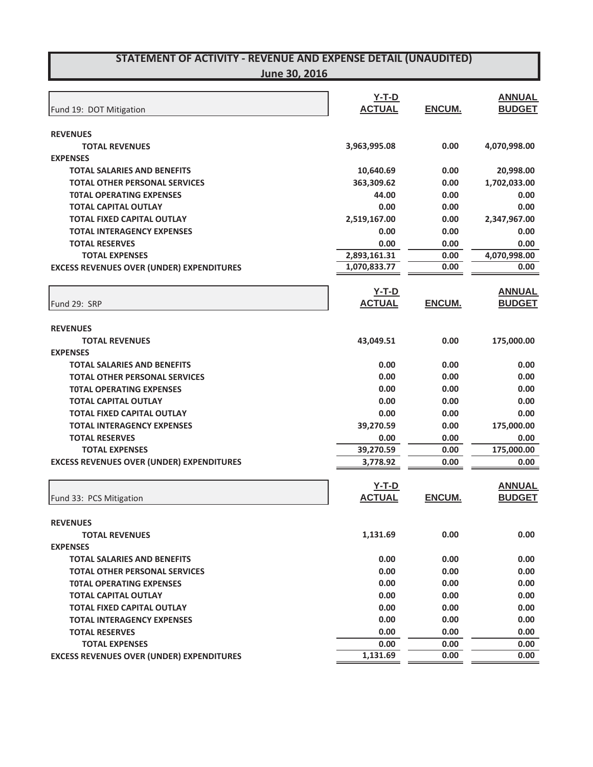|                                                  | $Y-T-D$       |        | <b>ANNUAL</b> |
|--------------------------------------------------|---------------|--------|---------------|
| Fund 19: DOT Mitigation                          | <b>ACTUAL</b> | ENCUM. | <b>BUDGET</b> |
| <b>REVENUES</b>                                  |               |        |               |
| <b>TOTAL REVENUES</b>                            | 3,963,995.08  | 0.00   | 4,070,998.00  |
| <b>EXPENSES</b>                                  |               |        |               |
| <b>TOTAL SALARIES AND BENEFITS</b>               | 10,640.69     | 0.00   | 20,998.00     |
| <b>TOTAL OTHER PERSONAL SERVICES</b>             | 363,309.62    | 0.00   | 1,702,033.00  |
| <b>TOTAL OPERATING EXPENSES</b>                  | 44.00         | 0.00   | 0.00          |
| <b>TOTAL CAPITAL OUTLAY</b>                      | 0.00          | 0.00   | 0.00          |
| <b>TOTAL FIXED CAPITAL OUTLAY</b>                | 2,519,167.00  | 0.00   | 2,347,967.00  |
| <b>TOTAL INTERAGENCY EXPENSES</b>                | 0.00          | 0.00   | 0.00          |
| <b>TOTAL RESERVES</b>                            | 0.00          | 0.00   | 0.00          |
| <b>TOTAL EXPENSES</b>                            | 2,893,161.31  | 0.00   | 4,070,998.00  |
| <b>EXCESS REVENUES OVER (UNDER) EXPENDITURES</b> | 1,070,833.77  | 0.00   | 0.00          |
|                                                  | $Y-T-D$       |        | <b>ANNUAL</b> |
| Fund 29: SRP                                     | <b>ACTUAL</b> | ENCUM. | <b>BUDGET</b> |
|                                                  |               |        |               |
| <b>REVENUES</b><br><b>TOTAL REVENUES</b>         | 43,049.51     | 0.00   | 175,000.00    |
| <b>EXPENSES</b>                                  |               |        |               |
| <b>TOTAL SALARIES AND BENEFITS</b>               | 0.00          | 0.00   | 0.00          |
| <b>TOTAL OTHER PERSONAL SERVICES</b>             | 0.00          | 0.00   | 0.00          |
| <b>TOTAL OPERATING EXPENSES</b>                  | 0.00          | 0.00   | 0.00          |
| <b>TOTAL CAPITAL OUTLAY</b>                      | 0.00          | 0.00   | 0.00          |
| <b>TOTAL FIXED CAPITAL OUTLAY</b>                | 0.00          | 0.00   | 0.00          |
| <b>TOTAL INTERAGENCY EXPENSES</b>                | 39,270.59     | 0.00   | 175,000.00    |
| <b>TOTAL RESERVES</b>                            | 0.00          | 0.00   | 0.00          |
| <b>TOTAL EXPENSES</b>                            | 39,270.59     | 0.00   | 175,000.00    |
| <b>EXCESS REVENUES OVER (UNDER) EXPENDITURES</b> | 3,778.92      | 0.00   | 0.00          |
|                                                  | $Y-T-D$       |        | <b>ANNUAL</b> |
| Fund 33: PCS Mitigation                          | <b>ACTUAL</b> | ENCUM. | <b>BUDGET</b> |
|                                                  |               |        |               |
| <b>REVENUES</b>                                  |               |        |               |
| <b>TOTAL REVENUES</b>                            | 1,131.69      | 0.00   | 0.00          |
| <b>EXPENSES</b>                                  |               |        |               |
| <b>TOTAL SALARIES AND BENEFITS</b>               | 0.00          | 0.00   | 0.00          |
| <b>TOTAL OTHER PERSONAL SERVICES</b>             | 0.00          | 0.00   | 0.00          |
| <b>TOTAL OPERATING EXPENSES</b>                  | 0.00          | 0.00   | 0.00          |
| <b>TOTAL CAPITAL OUTLAY</b>                      | 0.00          | 0.00   | 0.00          |
| <b>TOTAL FIXED CAPITAL OUTLAY</b>                | 0.00          | 0.00   | 0.00          |
| <b>TOTAL INTERAGENCY EXPENSES</b>                | 0.00          | 0.00   | 0.00          |
| <b>TOTAL RESERVES</b>                            | 0.00          | 0.00   | 0.00          |
| <b>TOTAL EXPENSES</b>                            | 0.00          | 0.00   | 0.00          |
| <b>EXCESS REVENUES OVER (UNDER) EXPENDITURES</b> | 1,131.69      | 0.00   | 0.00          |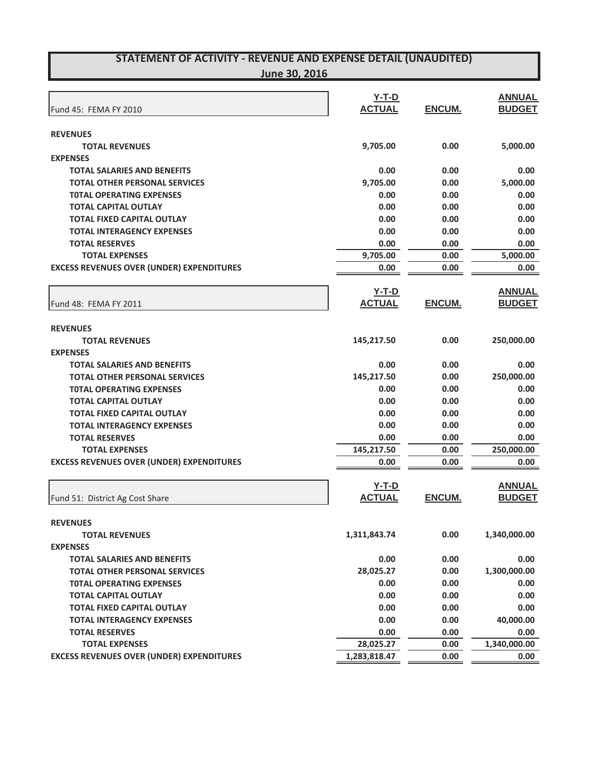**June 30, 2016**

|                                                  | <b>Y-T-D</b>  |              | <b>ANNUAL</b> |
|--------------------------------------------------|---------------|--------------|---------------|
| Fund 45: FEMA FY 2010                            | <b>ACTUAL</b> | ENCUM.       | <b>BUDGET</b> |
|                                                  |               |              |               |
| <b>REVENUES</b>                                  |               |              |               |
| <b>TOTAL REVENUES</b>                            | 9,705.00      | 0.00         | 5,000.00      |
| <b>EXPENSES</b>                                  |               |              |               |
| <b>TOTAL SALARIES AND BENEFITS</b>               | 0.00          | 0.00         | 0.00          |
| <b>TOTAL OTHER PERSONAL SERVICES</b>             | 9,705.00      | 0.00         | 5,000.00      |
| <b>TOTAL OPERATING EXPENSES</b>                  | 0.00          | 0.00         | 0.00          |
| <b>TOTAL CAPITAL OUTLAY</b>                      | 0.00          | 0.00         | 0.00          |
| <b>TOTAL FIXED CAPITAL OUTLAY</b>                | 0.00          | 0.00         | 0.00          |
| <b>TOTAL INTERAGENCY EXPENSES</b>                | 0.00          | 0.00         | 0.00          |
| <b>TOTAL RESERVES</b>                            | 0.00          | 0.00         | 0.00          |
| <b>TOTAL EXPENSES</b>                            | 9,705.00      | 0.00         | 5,000.00      |
| <b>EXCESS REVENUES OVER (UNDER) EXPENDITURES</b> | 0.00          | 0.00         | 0.00          |
|                                                  | $Y-T-D$       |              | <b>ANNUAL</b> |
| Fund 48: FEMA FY 2011                            | <b>ACTUAL</b> | ENCUM.       | <b>BUDGET</b> |
|                                                  |               |              |               |
| <b>REVENUES</b>                                  |               |              |               |
| <b>TOTAL REVENUES</b>                            | 145,217.50    | 0.00         | 250,000.00    |
| <b>EXPENSES</b>                                  |               |              |               |
| <b>TOTAL SALARIES AND BENEFITS</b>               | 0.00          | 0.00         | 0.00          |
| <b>TOTAL OTHER PERSONAL SERVICES</b>             | 145,217.50    | 0.00         | 250,000.00    |
| <b>TOTAL OPERATING EXPENSES</b>                  | 0.00          | 0.00         | 0.00          |
| <b>TOTAL CAPITAL OUTLAY</b>                      | 0.00          | 0.00         | 0.00          |
| <b>TOTAL FIXED CAPITAL OUTLAY</b>                | 0.00          | 0.00         | 0.00          |
| <b>TOTAL INTERAGENCY EXPENSES</b>                | 0.00          | 0.00         | 0.00          |
| <b>TOTAL RESERVES</b>                            | 0.00          | 0.00         | 0.00          |
| <b>TOTAL EXPENSES</b>                            | 145,217.50    | 0.00         | 250,000.00    |
| <b>EXCESS REVENUES OVER (UNDER) EXPENDITURES</b> | 0.00          | 0.00         | 0.00          |
|                                                  |               |              |               |
|                                                  | $Y-T-D$       |              | <b>ANNUAL</b> |
| Fund 51: District Ag Cost Share                  | <b>ACTUAL</b> | ENCUM.       | <b>BUDGET</b> |
| <b>REVENUES</b>                                  |               |              |               |
| <b>TOTAL REVENUES</b>                            | 1,311,843.74  | 0.00         | 1,340,000.00  |
| <b>EXPENSES</b>                                  |               |              |               |
| <b>TOTAL SALARIES AND BENEFITS</b>               | 0.00          | 0.00         | 0.00          |
| <b>TOTAL OTHER PERSONAL SERVICES</b>             | 28,025.27     | 0.00         | 1,300,000.00  |
| <b>TOTAL OPERATING EXPENSES</b>                  | 0.00          | 0.00         | 0.00          |
| <b>TOTAL CAPITAL OUTLAY</b>                      | 0.00          | 0.00         | 0.00          |
| <b>TOTAL FIXED CAPITAL OUTLAY</b>                | 0.00          | 0.00         | 0.00          |
| <b>TOTAL INTERAGENCY EXPENSES</b>                | 0.00          | 0.00         | 40,000.00     |
| <b>TOTAL RESERVES</b>                            | 0.00          |              | 0.00          |
| <b>TOTAL EXPENSES</b>                            | 28,025.27     | 0.00<br>0.00 | 1,340,000.00  |
|                                                  |               |              |               |
| <b>EXCESS REVENUES OVER (UNDER) EXPENDITURES</b> | 1,283,818.47  | 0.00         | 0.00          |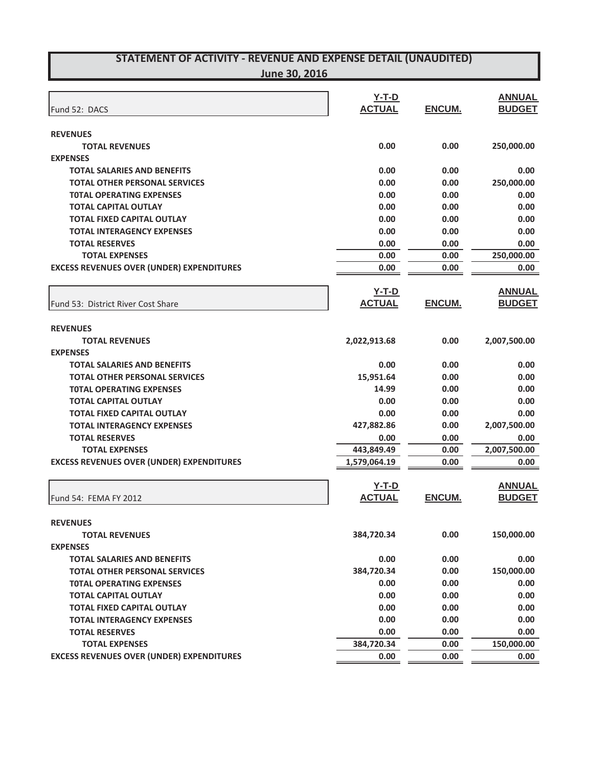| Fund 52: DACS                                    | $Y-T-D$<br><b>ACTUAL</b> | ENCUM.        | <b>ANNUAL</b><br><b>BUDGET</b> |
|--------------------------------------------------|--------------------------|---------------|--------------------------------|
|                                                  |                          |               |                                |
| <b>REVENUES</b>                                  |                          |               |                                |
| <b>TOTAL REVENUES</b>                            | 0.00                     | 0.00          | 250,000.00                     |
| <b>EXPENSES</b>                                  |                          |               |                                |
| <b>TOTAL SALARIES AND BENEFITS</b>               | 0.00                     | 0.00          | 0.00                           |
| <b>TOTAL OTHER PERSONAL SERVICES</b>             | 0.00                     | 0.00          | 250,000.00                     |
| <b>TOTAL OPERATING EXPENSES</b>                  | 0.00                     | 0.00          | 0.00                           |
| <b>TOTAL CAPITAL OUTLAY</b>                      | 0.00                     | 0.00          | 0.00                           |
| <b>TOTAL FIXED CAPITAL OUTLAY</b>                | 0.00                     | 0.00          | 0.00                           |
| <b>TOTAL INTERAGENCY EXPENSES</b>                | 0.00                     | 0.00          | 0.00                           |
| <b>TOTAL RESERVES</b>                            | 0.00                     | 0.00          | 0.00                           |
| <b>TOTAL EXPENSES</b>                            | 0.00                     | 0.00          | 250,000.00                     |
| <b>EXCESS REVENUES OVER (UNDER) EXPENDITURES</b> | 0.00                     | 0.00          | 0.00                           |
|                                                  | $Y-T-D$                  |               | <b>ANNUAL</b>                  |
| Fund 53: District River Cost Share               | <b>ACTUAL</b>            | ENCUM.        | <b>BUDGET</b>                  |
|                                                  |                          |               |                                |
| <b>REVENUES</b>                                  |                          |               |                                |
| <b>TOTAL REVENUES</b>                            | 2,022,913.68             | 0.00          | 2,007,500.00                   |
| <b>EXPENSES</b>                                  |                          |               |                                |
| <b>TOTAL SALARIES AND BENEFITS</b>               | 0.00                     | 0.00          | 0.00                           |
| <b>TOTAL OTHER PERSONAL SERVICES</b>             | 15,951.64                | 0.00          | 0.00                           |
| <b>TOTAL OPERATING EXPENSES</b>                  | 14.99                    | 0.00          | 0.00                           |
| <b>TOTAL CAPITAL OUTLAY</b>                      | 0.00                     | 0.00          | 0.00                           |
| <b>TOTAL FIXED CAPITAL OUTLAY</b>                | 0.00                     | 0.00          | 0.00                           |
| <b>TOTAL INTERAGENCY EXPENSES</b>                | 427,882.86               | 0.00          | 2,007,500.00                   |
| <b>TOTAL RESERVES</b>                            | 0.00                     | 0.00          | 0.00                           |
| <b>TOTAL EXPENSES</b>                            | 443,849.49               | 0.00          | 2,007,500.00                   |
| <b>EXCESS REVENUES OVER (UNDER) EXPENDITURES</b> | 1,579,064.19             | 0.00          | 0.00                           |
|                                                  | $Y-T-D$                  |               | <b>ANNUAL</b>                  |
| Fund 54: FEMA FY 2012                            | <b>ACTUAL</b>            | <b>ENCUM.</b> | <b>BUDGET</b>                  |
|                                                  |                          |               |                                |
| <b>REVENUES</b>                                  |                          |               |                                |
| <b>TOTAL REVENUES</b>                            | 384,720.34               | 0.00          | 150,000.00                     |
| <b>EXPENSES</b>                                  |                          |               |                                |
| <b>TOTAL SALARIES AND BENEFITS</b>               | 0.00                     | 0.00          | 0.00                           |
| <b>TOTAL OTHER PERSONAL SERVICES</b>             | 384,720.34               | 0.00          | 150,000.00                     |
| <b>TOTAL OPERATING EXPENSES</b>                  | 0.00                     | 0.00          | 0.00                           |
| <b>TOTAL CAPITAL OUTLAY</b>                      | 0.00                     | 0.00          | 0.00                           |
| <b>TOTAL FIXED CAPITAL OUTLAY</b>                | 0.00                     | 0.00          | 0.00                           |
| <b>TOTAL INTERAGENCY EXPENSES</b>                | 0.00                     | 0.00          | 0.00                           |
| <b>TOTAL RESERVES</b>                            | 0.00                     | 0.00          | 0.00                           |
| <b>TOTAL EXPENSES</b>                            | 384,720.34               | 0.00          | 150,000.00                     |
| <b>EXCESS REVENUES OVER (UNDER) EXPENDITURES</b> | 0.00                     | 0.00          | 0.00                           |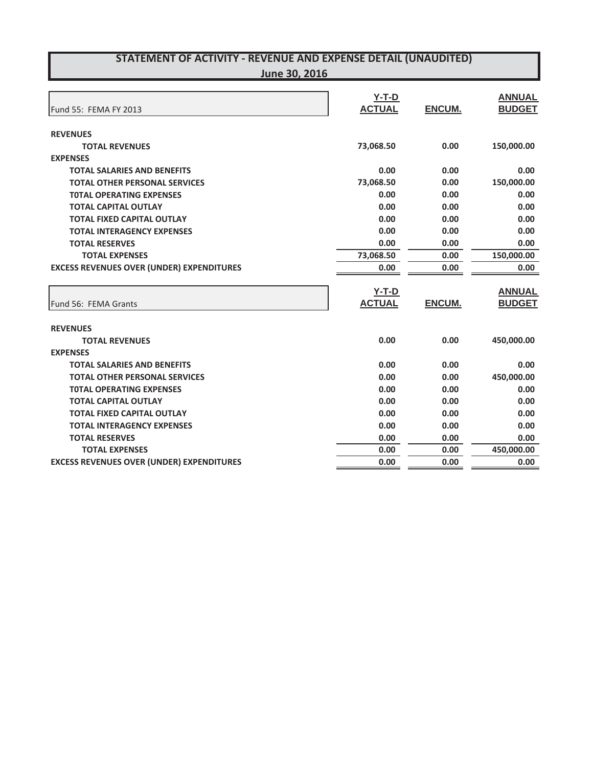| Fund 55: FEMA FY 2013                            | $Y-T-D$<br><b>ACTUAL</b> | ENCUM.        | <b>ANNUAL</b><br><b>BUDGET</b> |
|--------------------------------------------------|--------------------------|---------------|--------------------------------|
| <b>REVENUES</b>                                  |                          |               |                                |
| <b>TOTAL REVENUES</b>                            | 73,068.50                | 0.00          | 150,000.00                     |
| <b>EXPENSES</b>                                  |                          |               |                                |
| <b>TOTAL SALARIES AND BENEFITS</b>               | 0.00                     | 0.00          | 0.00                           |
| <b>TOTAL OTHER PERSONAL SERVICES</b>             | 73,068.50                | 0.00          | 150,000.00                     |
| <b>TOTAL OPERATING EXPENSES</b>                  | 0.00                     | 0.00          | 0.00                           |
| <b>TOTAL CAPITAL OUTLAY</b>                      | 0.00                     | 0.00          | 0.00                           |
| <b>TOTAL FIXED CAPITAL OUTLAY</b>                | 0.00                     | 0.00          | 0.00                           |
| <b>TOTAL INTERAGENCY EXPENSES</b>                | 0.00                     | 0.00          | 0.00                           |
| <b>TOTAL RESERVES</b>                            | 0.00                     | 0.00          | 0.00                           |
| <b>TOTAL EXPENSES</b>                            | 73,068.50                | 0.00          | 150,000.00                     |
| <b>EXCESS REVENUES OVER (UNDER) EXPENDITURES</b> | 0.00                     | 0.00          | 0.00                           |
|                                                  | $Y-T-D$                  |               | <b>ANNUAL</b>                  |
| Fund 56: FEMA Grants                             | <b>ACTUAL</b>            | <b>ENCUM.</b> | <b>BUDGET</b>                  |
| <b>REVENUES</b>                                  |                          |               |                                |
| <b>TOTAL REVENUES</b>                            | 0.00                     | 0.00          | 450,000.00                     |
| <b>EXPENSES</b>                                  |                          |               |                                |
|                                                  |                          |               |                                |
| <b>TOTAL SALARIES AND BENEFITS</b>               | 0.00                     | 0.00          | 0.00                           |
| <b>TOTAL OTHER PERSONAL SERVICES</b>             | 0.00                     | 0.00          |                                |
| <b>TOTAL OPERATING EXPENSES</b>                  | 0.00                     | 0.00          | 450,000.00<br>0.00             |
| <b>TOTAL CAPITAL OUTLAY</b>                      | 0.00                     | 0.00          | 0.00                           |
| <b>TOTAL FIXED CAPITAL OUTLAY</b>                | 0.00                     | 0.00          | 0.00                           |
| <b>TOTAL INTERAGENCY EXPENSES</b>                | 0.00                     | 0.00          | 0.00                           |
| <b>TOTAL RESERVES</b>                            | 0.00                     | 0.00          | 0.00                           |
| <b>TOTAL EXPENSES</b>                            | 0.00                     | 0.00          | 450,000.00                     |